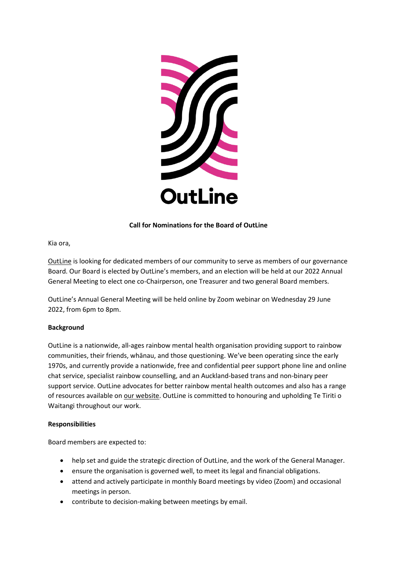

# **Call for Nominations for the Board of OutLine**

Kia ora,

[OutLine](https://www.outline.org.nz/) is looking for dedicated members of our community to serve as members of our governance Board. Our Board is elected by OutLine's members, and an election will be held at our 2022 Annual General Meeting to elect one co-Chairperson, one Treasurer and two general Board members.

OutLine's Annual General Meeting will be held online by Zoom webinar on Wednesday 29 June 2022, from 6pm to 8pm.

## **Background**

OutLine is a nationwide, all-ages rainbow mental health organisation providing support to rainbow communities, their friends, whānau, and those questioning. We've been operating since the early 1970s, and currently provide a nationwide, free and confidential peer support phone line and online chat service, specialist rainbow counselling, and an Auckland-based trans and non-binary peer support service. OutLine advocates for better rainbow mental health outcomes and also has a range of resources available o[n our website.](https://outline.org.nz/about/) OutLine is committed to honouring and upholding Te Tiriti o Waitangi throughout our work.

#### **Responsibilities**

Board members are expected to:

- help set and guide the strategic direction of OutLine, and the work of the General Manager.
- ensure the organisation is governed well, to meet its legal and financial obligations.
- attend and actively participate in monthly Board meetings by video (Zoom) and occasional meetings in person.
- contribute to decision-making between meetings by email.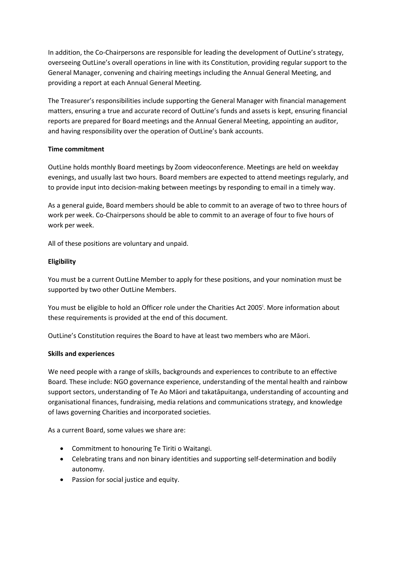In addition, the Co-Chairpersons are responsible for leading the development of OutLine's strategy, overseeing OutLine's overall operations in line with its Constitution, providing regular support to the General Manager, convening and chairing meetings including the Annual General Meeting, and providing a report at each Annual General Meeting.

The Treasurer's responsibilities include supporting the General Manager with financial management matters, ensuring a true and accurate record of OutLine's funds and assets is kept, ensuring financial reports are prepared for Board meetings and the Annual General Meeting, appointing an auditor, and having responsibility over the operation of OutLine's bank accounts.

## **Time commitment**

OutLine holds monthly Board meetings by Zoom videoconference. Meetings are held on weekday evenings, and usually last two hours. Board members are expected to attend meetings regularly, and to provide input into decision-making between meetings by responding to email in a timely way.

As a general guide, Board members should be able to commit to an average of two to three hours of work per week. Co-Chairpersons should be able to commit to an average of four to five hours of work per week.

All of these positions are voluntary and unpaid.

## **Eligibility**

You must be a current OutLine Member to apply for these positions, and your nomination must be supported by two other OutLine Members.

You must be eligible to hold an Officer role under the Charities Act 2005<sup>i</sup>. More information about these requirements is provided at the end of this document.

OutLine's Constitution requires the Board to have at least two members who are Māori.

#### **Skills and experiences**

We need people with a range of skills, backgrounds and experiences to contribute to an effective Board. These include: NGO governance experience, understanding of the mental health and rainbow support sectors, understanding of Te Ao Māori and takatāpuitanga, understanding of accounting and organisational finances, fundraising, media relations and communications strategy, and knowledge of laws governing Charities and incorporated societies.

As a current Board, some values we share are:

- Commitment to honouring Te Tiriti o Waitangi.
- Celebrating trans and non binary identities and supporting self-determination and bodily autonomy.
- Passion for social justice and equity.